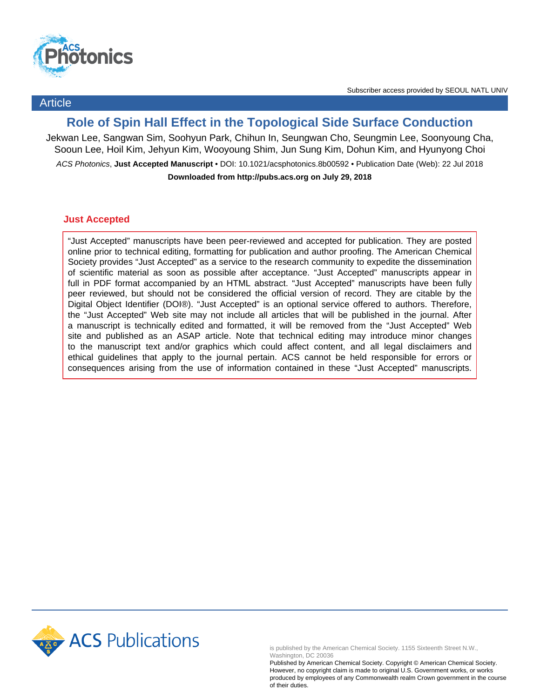

Article

# **Role of Spin Hall Effect in the Topological Side Surface Conduction**

Jekwan Lee, Sangwan Sim, Soohyun Park, Chihun In, Seungwan Cho, Seungmin Lee, Soonyoung Cha, Sooun Lee, Hoil Kim, Jehyun Kim, Wooyoung Shim, Jun Sung Kim, Dohun Kim, and Hyunyong Choi ACS Photonics, **Just Accepted Manuscript** • DOI: 10.1021/acsphotonics.8b00592 • Publication Date (Web): 22 Jul 2018 **Downloaded from http://pubs.acs.org on July 29, 2018**

## **Just Accepted**

"Just Accepted" manuscripts have been peer-reviewed and accepted for publication. They are posted online prior to technical editing, formatting for publication and author proofing. The American Chemical Society provides "Just Accepted" as a service to the research community to expedite the dissemination of scientific material as soon as possible after acceptance. "Just Accepted" manuscripts appear in full in PDF format accompanied by an HTML abstract. "Just Accepted" manuscripts have been fully peer reviewed, but should not be considered the official version of record. They are citable by the Digital Object Identifier (DOI®). "Just Accepted" is an optional service offered to authors. Therefore, the "Just Accepted" Web site may not include all articles that will be published in the journal. After a manuscript is technically edited and formatted, it will be removed from the "Just Accepted" Web site and published as an ASAP article. Note that technical editing may introduce minor changes to the manuscript text and/or graphics which could affect content, and all legal disclaimers and ethical guidelines that apply to the journal pertain. ACS cannot be held responsible for errors or consequences arising from the use of information contained in these "Just Accepted" manuscripts.



is published by the American Chemical Society. 1155 Sixteenth Street N.W., Washington, DC 20036

Published by American Chemical Society. Copyright © American Chemical Society. However, no copyright claim is made to original U.S. Government works, or works produced by employees of any Commonwealth realm Crown government in the course of their duties.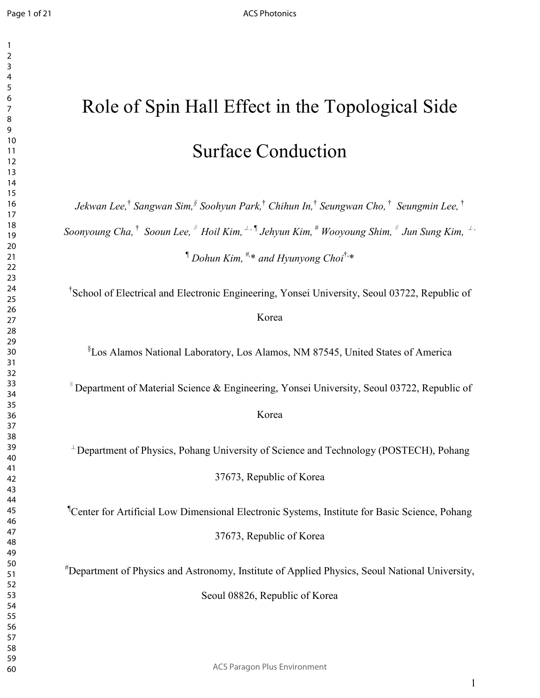## 

# Role of Spin Hall Effect in the Topological Side Surface Conduction

*Jekwan Lee,*†  *Sangwan Sim,§ Soohyun Park,*†  *Chihun In,*†  *Seungwan Cho,* † *Seungmin Lee,* † *Soonyoung Cha,* † *Sooun Lee,*<sup>∥</sup> *Hoil Kim,*⊥, *¶ Jehyun Kim, # Wooyoung Shim,*<sup>∥</sup> *Jun Sung Kim,* ⊥, *¶ Dohun Kim, #,*\* *and Hyunyong Choi*†,\*

† School of Electrical and Electronic Engineering, Yonsei University, Seoul 03722, Republic of Korea

§ Los Alamos National Laboratory, Los Alamos, NM 87545, United States of America

<sup>∥</sup>Department of Material Science & Engineering, Yonsei University, Seoul 03722, Republic of

Korea

 $\perp$ Department of Physics, Pohang University of Science and Technology (POSTECH), Pohang

37673, Republic of Korea

¶Center for Artificial Low Dimensional Electronic Systems, Institute for Basic Science, Pohang 37673, Republic of Korea

#Department of Physics and Astronomy, Institute of Applied Physics, Seoul National University,

Seoul 08826, Republic of Korea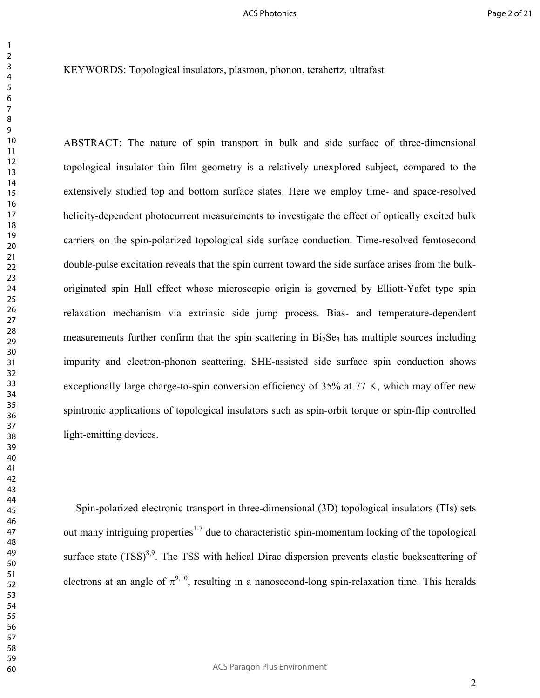KEYWORDS: Topological insulators, plasmon, phonon, terahertz, ultrafast

ABSTRACT: The nature of spin transport in bulk and side surface of three-dimensional topological insulator thin film geometry is a relatively unexplored subject, compared to the extensively studied top and bottom surface states. Here we employ time- and space-resolved helicity-dependent photocurrent measurements to investigate the effect of optically excited bulk carriers on the spin-polarized topological side surface conduction. Time-resolved femtosecond double-pulse excitation reveals that the spin current toward the side surface arises from the bulkoriginated spin Hall effect whose microscopic origin is governed by Elliott-Yafet type spin relaxation mechanism via extrinsic side jump process. Bias- and temperature-dependent measurements further confirm that the spin scattering in  $Bi<sub>2</sub>Se<sub>3</sub>$  has multiple sources including impurity and electron-phonon scattering. SHE-assisted side surface spin conduction shows exceptionally large charge-to-spin conversion efficiency of 35% at 77 K, which may offer new spintronic applications of topological insulators such as spin-orbit torque or spin-flip controlled light-emitting devices.

Spin-polarized electronic transport in three-dimensional (3D) topological insulators (TIs) sets out many intriguing properties<sup>1-7</sup> due to characteristic spin-momentum locking of the topological surface state  $(TSS)^{8,9}$ . The TSS with helical Dirac dispersion prevents elastic backscattering of electrons at an angle of  $\pi^{9,10}$ , resulting in a nanosecond-long spin-relaxation time. This heralds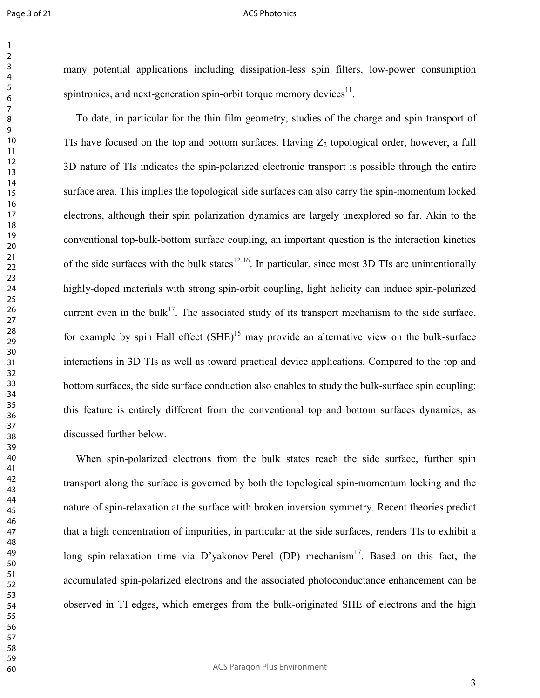#### ACS Photonics

many potential applications including dissipation-less spin filters, low-power consumption spintronics, and next-generation spin-orbit torque memory devices.

To date, in particular for the thin film geometry, studies of the charge and spin transport of TIs have focused on the top and bottom surfaces. Having  $Z_2$  topological order, however, a full 3D nature of TIs indicates the spin-polarized electronic transport is possible through the entire surface area. This implies the topological side surfaces can also carry the spin-momentum locked electrons, although their spin polarization dynamics are largely unexplored so far. Akin to the conventional top-bulk-bottom surface coupling, an important question is the interaction kinetics of the side surfaces with the bulk states<sup>12-16</sup>. In particular, since most 3D TIs are unintentionally highly-doped materials with strong spin-orbit coupling, light helicity can induce spin-polarized current even in the bulk<sup>17</sup>. The associated study of its transport mechanism to the side surface, for example by spin Hall effect  $(SHE)^{15}$  may provide an alternative view on the bulk-surface interactions in 3D TIs as well as toward practical device applications. Compared to the top and bottom surfaces, the side surface conduction also enables to study the bulk-surface spin coupling; this feature is entirely different from the conventional top and bottom surfaces dynamics, as discussed further below.

When spin-polarized electrons from the bulk states reach the side surface, further spin transport along the surface is governed by both the topological spin-momentum locking and the nature of spin-relaxation at the surface with broken inversion symmetry. Recent theories predict that a high concentration of impurities, in particular at the side surfaces, renders TIs to exhibit a long spin-relaxation time via D'yakonov-Perel (DP) mechanism<sup>17</sup>. Based on this fact, the accumulated spin-polarized electrons and the associated photoconductance enhancement can be observed in TI edges, which emerges from the bulk-originated SHE of electrons and the high

ACS Paragon Plus Environment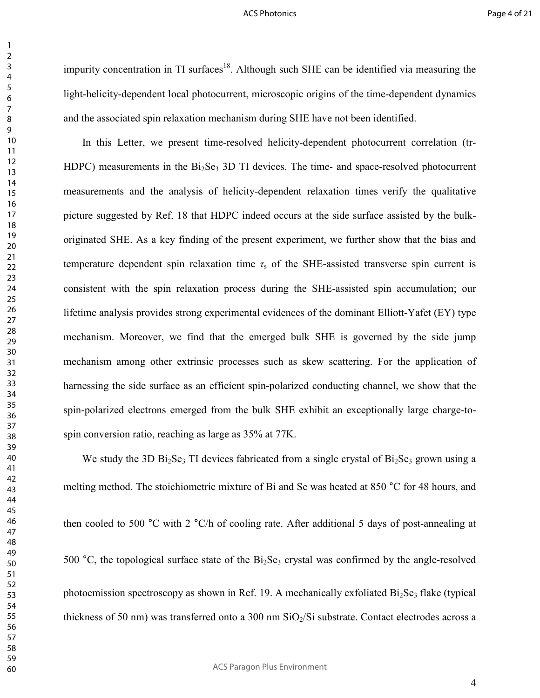impurity concentration in TI surfaces<sup>18</sup>. Although such SHE can be identified via measuring the light-helicity-dependent local photocurrent, microscopic origins of the time-dependent dynamics and the associated spin relaxation mechanism during SHE have not been identified.

In this Letter, we present time-resolved helicity-dependent photocurrent correlation (tr-HDPC) measurements in the  $Bi<sub>2</sub>Se<sub>3</sub>$  3D TI devices. The time- and space-resolved photocurrent measurements and the analysis of helicity-dependent relaxation times verify the qualitative picture suggested by Ref. 18 that HDPC indeed occurs at the side surface assisted by the bulkoriginated SHE. As a key finding of the present experiment, we further show that the bias and temperature dependent spin relaxation time  $\tau_s$  of the SHE-assisted transverse spin current is consistent with the spin relaxation process during the SHE-assisted spin accumulation; our lifetime analysis provides strong experimental evidences of the dominant Elliott-Yafet (EY) type mechanism. Moreover, we find that the emerged bulk SHE is governed by the side jump mechanism among other extrinsic processes such as skew scattering. For the application of harnessing the side surface as an efficient spin-polarized conducting channel, we show that the spin-polarized electrons emerged from the bulk SHE exhibit an exceptionally large charge-tospin conversion ratio, reaching as large as 35% at 77K.

We study the 3D Bi<sub>2</sub>Se<sub>3</sub> TI devices fabricated from a single crystal of Bi<sub>2</sub>Se<sub>3</sub> grown using a melting method. The stoichiometric mixture of Bi and Se was heated at 850 °C for 48 hours, and then cooled to 500 °C with 2 °C/h of cooling rate. After additional 5 days of post-annealing at 500 °C, the topological surface state of the  $Bi<sub>2</sub>Se<sub>3</sub>$  crystal was confirmed by the angle-resolved photoemission spectroscopy as shown in Ref. 19. A mechanically exfoliated  $Bi<sub>2</sub>Se<sub>3</sub>$  flake (typical thickness of 50 nm) was transferred onto a 300 nm  $SiO<sub>2</sub>/Si$  substrate. Contact electrodes across a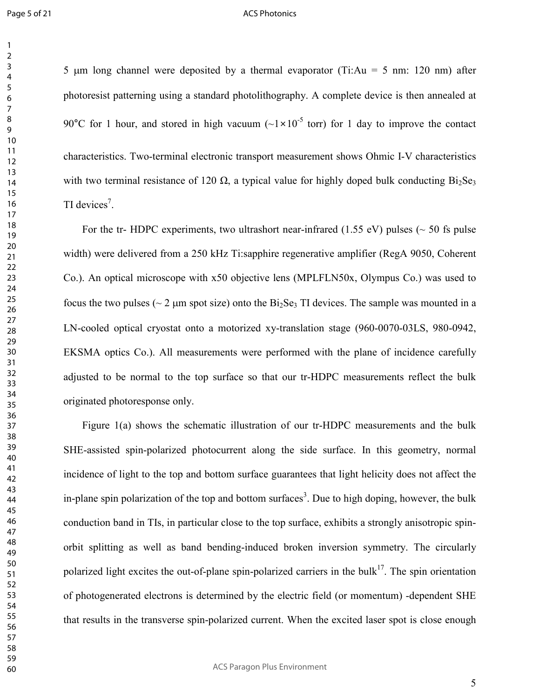5  $\mu$ m long channel were deposited by a thermal evaporator (Ti:Au = 5 nm: 120 nm) after photoresist patterning using a standard photolithography. A complete device is then annealed at 90°C for 1 hour, and stored in high vacuum  $(-1 \times 10^{-5}$  torr) for 1 day to improve the contact characteristics. Two-terminal electronic transport measurement shows Ohmic I-V characteristics

with two terminal resistance of 120  $\Omega$ , a typical value for highly doped bulk conducting Bi<sub>2</sub>Se<sub>3</sub> TI devices<sup>7</sup>.

For the tr- HDPC experiments, two ultrashort near-infrared (1.55 eV) pulses ( $\sim$  50 fs pulse width) were delivered from a 250 kHz Ti:sapphire regenerative amplifier (RegA 9050, Coherent Co.). An optical microscope with x50 objective lens (MPLFLN50x, Olympus Co.) was used to focus the two pulses ( $\sim$  2  $\mu$ m spot size) onto the Bi<sub>2</sub>Se<sub>3</sub> TI devices. The sample was mounted in a LN-cooled optical cryostat onto a motorized xy-translation stage (960-0070-03LS, 980-0942, EKSMA optics Co.). All measurements were performed with the plane of incidence carefully adjusted to be normal to the top surface so that our tr-HDPC measurements reflect the bulk originated photoresponse only.

Figure 1(a) shows the schematic illustration of our tr-HDPC measurements and the bulk SHE-assisted spin-polarized photocurrent along the side surface. In this geometry, normal incidence of light to the top and bottom surface guarantees that light helicity does not affect the in-plane spin polarization of the top and bottom surfaces<sup>3</sup>. Due to high doping, however, the bulk conduction band in TIs, in particular close to the top surface, exhibits a strongly anisotropic spinorbit splitting as well as band bending-induced broken inversion symmetry. The circularly polarized light excites the out-of-plane spin-polarized carriers in the bulk<sup>17</sup>. The spin orientation of photogenerated electrons is determined by the electric field (or momentum) -dependent SHE that results in the transverse spin-polarized current. When the excited laser spot is close enough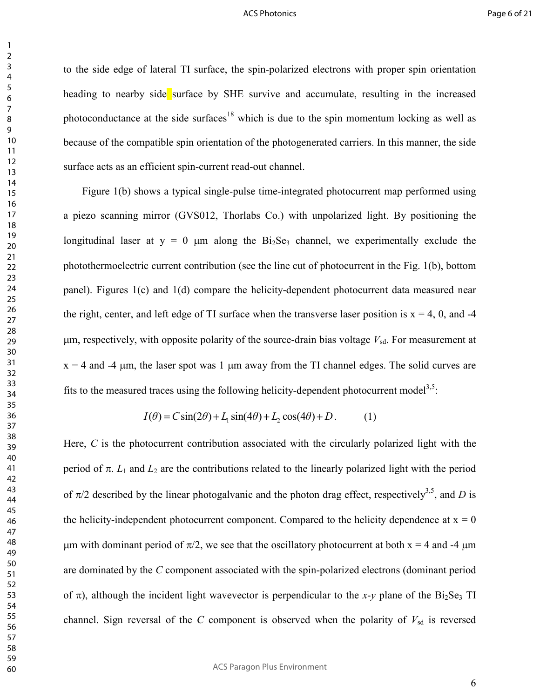to the side edge of lateral TI surface, the spin-polarized electrons with proper spin orientation heading to nearby side surface by SHE survive and accumulate, resulting in the increased photoconductance at the side surfaces<sup>18</sup> which is due to the spin momentum locking as well as because of the compatible spin orientation of the photogenerated carriers. In this manner, the side surface acts as an efficient spin-current read-out channel.

Figure 1(b) shows a typical single-pulse time-integrated photocurrent map performed using a piezo scanning mirror (GVS012, Thorlabs Co.) with unpolarized light. By positioning the longitudinal laser at  $y = 0$  µm along the Bi<sub>2</sub>Se<sub>3</sub> channel, we experimentally exclude the photothermoelectric current contribution (see the line cut of photocurrent in the Fig. 1(b), bottom panel). Figures 1(c) and 1(d) compare the helicity-dependent photocurrent data measured near the right, center, and left edge of TI surface when the transverse laser position is  $x = 4$ , 0, and -4  $\mu$ m, respectively, with opposite polarity of the source-drain bias voltage  $V_{sd}$ . For measurement at  $x = 4$  and  $-4$  um, the laser spot was 1 um away from the TI channel edges. The solid curves are fits to the measured traces using the following helicity-dependent photocurrent model<sup>3,5</sup>:

$$
I(\theta) = C\sin(2\theta) + L_1\sin(4\theta) + L_2\cos(4\theta) + D.
$$
 (1)

Here, *C* is the photocurrent contribution associated with the circularly polarized light with the period of π.  $L_1$  and  $L_2$  are the contributions related to the linearly polarized light with the period of  $\pi/2$  described by the linear photogalvanic and the photon drag effect, respectively<sup>3,5</sup>, and *D* is the helicity-independent photocurrent component. Compared to the helicity dependence at  $x = 0$ um with dominant period of  $\pi/2$ , we see that the oscillatory photocurrent at both  $x = 4$  and -4 µm are dominated by the *C* component associated with the spin-polarized electrons (dominant period of  $\pi$ ), although the incident light wavevector is perpendicular to the *x*-*y* plane of the Bi<sub>2</sub>Se<sub>3</sub> TI channel. Sign reversal of the  $C$  component is observed when the polarity of  $V_{sd}$  is reversed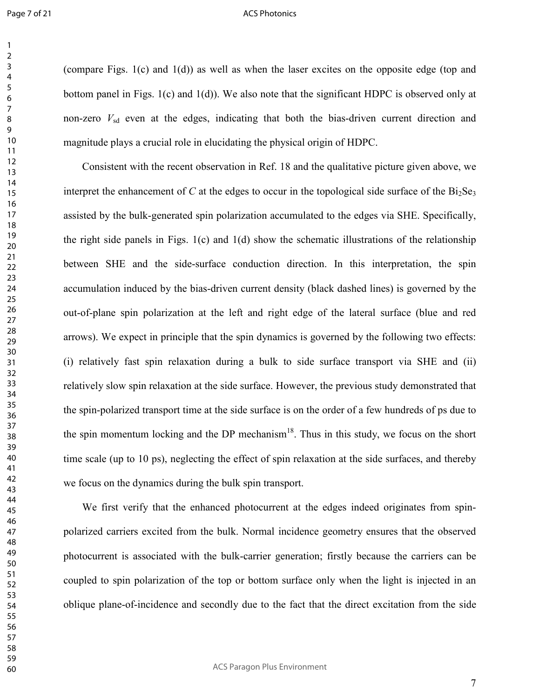(compare Figs. 1(c) and 1(d)) as well as when the laser excites on the opposite edge (top and bottom panel in Figs. 1(c) and 1(d)). We also note that the significant HDPC is observed only at non-zero  $V_{sd}$  even at the edges, indicating that both the bias-driven current direction and magnitude plays a crucial role in elucidating the physical origin of HDPC.

Consistent with the recent observation in Ref. 18 and the qualitative picture given above, we interpret the enhancement of *C* at the edges to occur in the topological side surface of the  $Bi<sub>2</sub>Se<sub>3</sub>$ assisted by the bulk-generated spin polarization accumulated to the edges via SHE. Specifically, the right side panels in Figs.  $1(c)$  and  $1(d)$  show the schematic illustrations of the relationship between SHE and the side-surface conduction direction. In this interpretation, the spin accumulation induced by the bias-driven current density (black dashed lines) is governed by the out-of-plane spin polarization at the left and right edge of the lateral surface (blue and red arrows). We expect in principle that the spin dynamics is governed by the following two effects: (i) relatively fast spin relaxation during a bulk to side surface transport via SHE and (ii) relatively slow spin relaxation at the side surface. However, the previous study demonstrated that the spin-polarized transport time at the side surface is on the order of a few hundreds of ps due to the spin momentum locking and the DP mechanism<sup>18</sup>. Thus in this study, we focus on the short time scale (up to 10 ps), neglecting the effect of spin relaxation at the side surfaces, and thereby we focus on the dynamics during the bulk spin transport.

We first verify that the enhanced photocurrent at the edges indeed originates from spinpolarized carriers excited from the bulk. Normal incidence geometry ensures that the observed photocurrent is associated with the bulk-carrier generation; firstly because the carriers can be coupled to spin polarization of the top or bottom surface only when the light is injected in an oblique plane-of-incidence and secondly due to the fact that the direct excitation from the side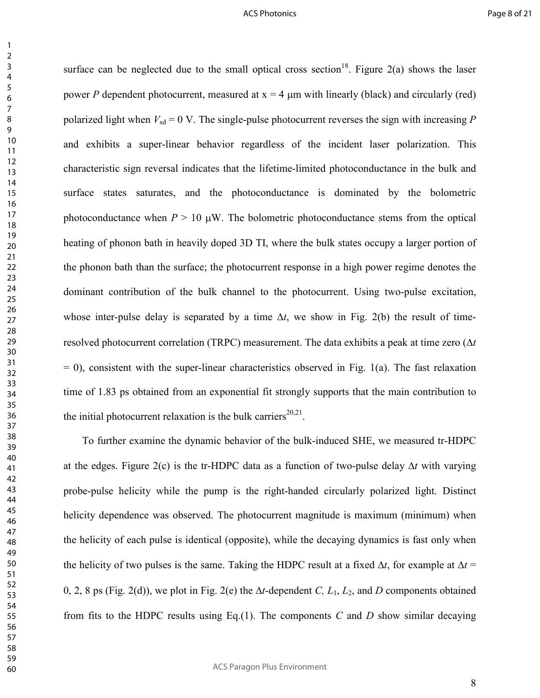surface can be neglected due to the small optical cross section<sup>18</sup>. Figure 2(a) shows the laser power *P* dependent photocurrent, measured at  $x = 4$  µm with linearly (black) and circularly (red) polarized light when  $V_{sd} = 0$  V. The single-pulse photocurrent reverses the sign with increasing *P* and exhibits a super-linear behavior regardless of the incident laser polarization. This characteristic sign reversal indicates that the lifetime-limited photoconductance in the bulk and surface states saturates, and the photoconductance is dominated by the bolometric photoconductance when  $P > 10 \mu W$ . The bolometric photoconductance stems from the optical heating of phonon bath in heavily doped 3D TI, where the bulk states occupy a larger portion of the phonon bath than the surface; the photocurrent response in a high power regime denotes the dominant contribution of the bulk channel to the photocurrent. Using two-pulse excitation, whose inter-pulse delay is separated by a time ∆*t*, we show in Fig. 2(b) the result of timeresolved photocurrent correlation (TRPC) measurement. The data exhibits a peak at time zero (∆*t*  $= 0$ ), consistent with the super-linear characteristics observed in Fig. 1(a). The fast relaxation time of 1.83 ps obtained from an exponential fit strongly supports that the main contribution to the initial photocurrent relaxation is the bulk carriers<sup>20,21</sup>.

To further examine the dynamic behavior of the bulk-induced SHE, we measured tr-HDPC at the edges. Figure 2(c) is the tr-HDPC data as a function of two-pulse delay ∆*t* with varying probe-pulse helicity while the pump is the right-handed circularly polarized light. Distinct helicity dependence was observed. The photocurrent magnitude is maximum (minimum) when the helicity of each pulse is identical (opposite), while the decaying dynamics is fast only when the helicity of two pulses is the same. Taking the HDPC result at a fixed ∆*t*, for example at ∆*t* = 0, 2, 8 ps (Fig. 2(d)), we plot in Fig. 2(e) the ∆*t*-dependent *C, L*1, *L*2, and *D* components obtained from fits to the HDPC results using Eq.(1). The components *C* and *D* show similar decaying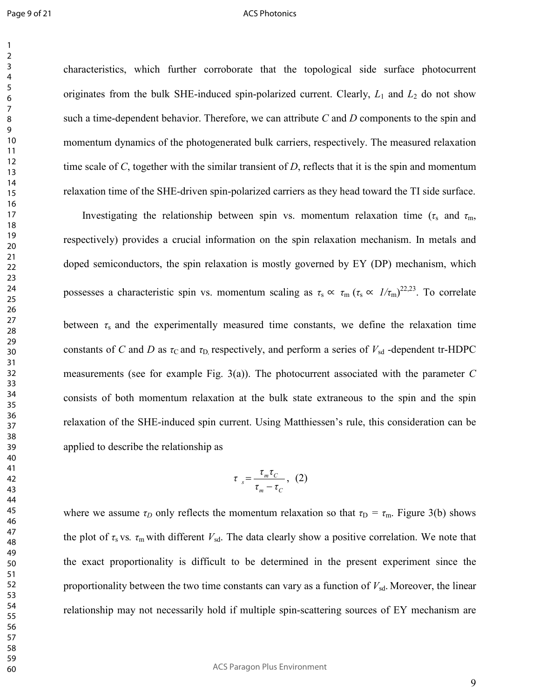characteristics, which further corroborate that the topological side surface photocurrent originates from the bulk SHE-induced spin-polarized current. Clearly,  $L_1$  and  $L_2$  do not show such a time-dependent behavior. Therefore, we can attribute *C* and *D* components to the spin and momentum dynamics of the photogenerated bulk carriers, respectively. The measured relaxation time scale of *C*, together with the similar transient of *D*, reflects that it is the spin and momentum relaxation time of the SHE-driven spin-polarized carriers as they head toward the TI side surface.

Investigating the relationship between spin vs. momentum relaxation time ( $\tau_s$  and  $\tau_m$ , respectively) provides a crucial information on the spin relaxation mechanism. In metals and doped semiconductors, the spin relaxation is mostly governed by EY (DP) mechanism, which possesses a characteristic spin vs. momentum scaling as  $\tau_s \propto \tau_m (\tau_s \propto 1/\tau_m)^{22,23}$ . To correlate between  $\tau_s$  and the experimentally measured time constants, we define the relaxation time constants of *C* and *D* as  $\tau$ <sub>C</sub> and  $\tau$ <sub>D</sub>, respectively, and perform a series of  $V_{sd}$  -dependent tr-HDPC measurements (see for example Fig. 3(a)). The photocurrent associated with the parameter *C* consists of both momentum relaxation at the bulk state extraneous to the spin and the spin relaxation of the SHE-induced spin current. Using Matthiessen's rule, this consideration can be applied to describe the relationship as

$$
\tau_{s} = \frac{\tau_{m} \tau_{C}}{\tau_{m} - \tau_{C}}, \quad (2)
$$

where we assume  $\tau_D$  only reflects the momentum relaxation so that  $\tau_D = \tau_m$ . Figure 3(b) shows the plot of  $\tau_s$  vs.  $\tau_m$  with different  $V_{sd}$ . The data clearly show a positive correlation. We note that the exact proportionality is difficult to be determined in the present experiment since the proportionality between the two time constants can vary as a function of  $V_{sd}$ . Moreover, the linear relationship may not necessarily hold if multiple spin-scattering sources of EY mechanism are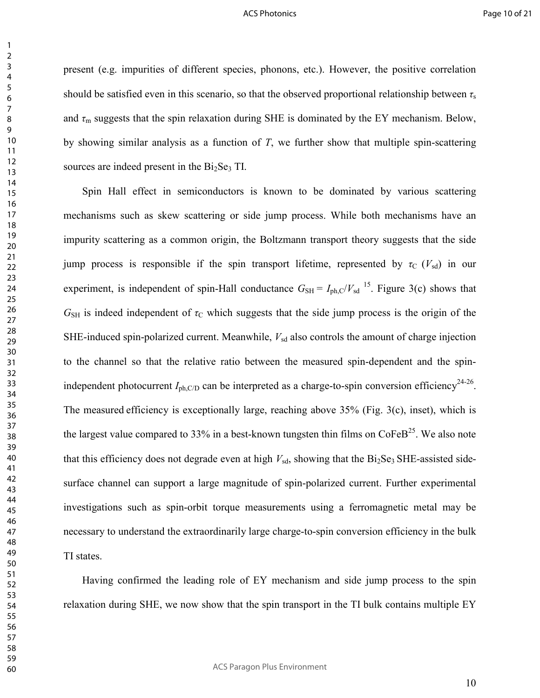present (e.g. impurities of different species, phonons, etc.). However, the positive correlation should be satisfied even in this scenario, so that the observed proportional relationship between *τ*<sup>s</sup> and  $\tau_m$  suggests that the spin relaxation during SHE is dominated by the EY mechanism. Below, by showing similar analysis as a function of *T*, we further show that multiple spin-scattering sources are indeed present in the  $Bi<sub>2</sub>Se<sub>3</sub>$  TI.

Spin Hall effect in semiconductors is known to be dominated by various scattering mechanisms such as skew scattering or side jump process. While both mechanisms have an impurity scattering as a common origin, the Boltzmann transport theory suggests that the side jump process is responsible if the spin transport lifetime, represented by  $\tau_c$  ( $V_{sd}$ ) in our experiment, is independent of spin-Hall conductance  $G_{SH} = I_{ph,C}/V_{sd}$  <sup>15</sup>. Figure 3(c) shows that  $G_{\text{SH}}$  is indeed independent of  $\tau_{\text{C}}$  which suggests that the side jump process is the origin of the SHE-induced spin-polarized current. Meanwhile,  $V_{sd}$  also controls the amount of charge injection to the channel so that the relative ratio between the measured spin-dependent and the spinindependent photocurrent  $I_{ph, C/D}$  can be interpreted as a charge-to-spin conversion efficiency<sup>24-26</sup>. The measured efficiency is exceptionally large, reaching above 35% (Fig. 3(c), inset), which is the largest value compared to 33% in a best-known tungsten thin films on  $\text{CoFeB}^{25}$ . We also note that this efficiency does not degrade even at high  $V_{sd}$ , showing that the  $Bi<sub>2</sub>Se<sub>3</sub> SHE-assisted side$ surface channel can support a large magnitude of spin-polarized current. Further experimental investigations such as spin-orbit torque measurements using a ferromagnetic metal may be necessary to understand the extraordinarily large charge-to-spin conversion efficiency in the bulk TI states.

Having confirmed the leading role of EY mechanism and side jump process to the spin relaxation during SHE, we now show that the spin transport in the TI bulk contains multiple EY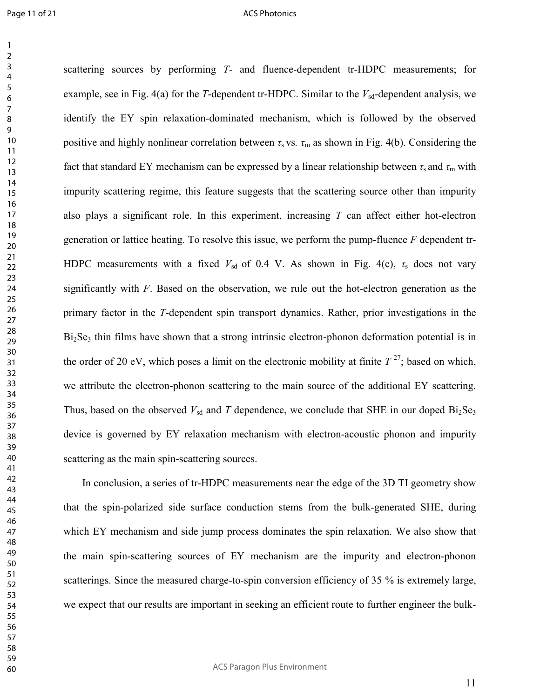#### ACS Photonics

scattering sources by performing *T*- and fluence-dependent tr-HDPC measurements; for example, see in Fig.  $4(a)$  for the *T*-dependent tr-HDPC. Similar to the  $V_{sd}$ -dependent analysis, we identify the EY spin relaxation-dominated mechanism, which is followed by the observed positive and highly nonlinear correlation between  $\tau_s$  vs.  $\tau_m$  as shown in Fig. 4(b). Considering the fact that standard EY mechanism can be expressed by a linear relationship between  $\tau_s$  and  $\tau_m$  with impurity scattering regime, this feature suggests that the scattering source other than impurity also plays a significant role. In this experiment, increasing *T* can affect either hot-electron generation or lattice heating. To resolve this issue, we perform the pump-fluence *F* dependent tr-HDPC measurements with a fixed  $V_{sd}$  of 0.4 V. As shown in Fig. 4(c),  $\tau_s$  does not vary significantly with *F*. Based on the observation, we rule out the hot-electron generation as the primary factor in the *T*-dependent spin transport dynamics. Rather, prior investigations in the  $Bi<sub>2</sub>Se<sub>3</sub>$  thin films have shown that a strong intrinsic electron-phonon deformation potential is in the order of 20 eV, which poses a limit on the electronic mobility at finite  $T^{27}$ ; based on which, we attribute the electron-phonon scattering to the main source of the additional EY scattering. Thus, based on the observed  $V_{sd}$  and *T* dependence, we conclude that SHE in our doped  $Bi_2Se_3$ device is governed by EY relaxation mechanism with electron-acoustic phonon and impurity scattering as the main spin-scattering sources.

In conclusion, a series of tr-HDPC measurements near the edge of the 3D TI geometry show that the spin-polarized side surface conduction stems from the bulk-generated SHE, during which EY mechanism and side jump process dominates the spin relaxation. We also show that the main spin-scattering sources of EY mechanism are the impurity and electron-phonon scatterings. Since the measured charge-to-spin conversion efficiency of 35 % is extremely large, we expect that our results are important in seeking an efficient route to further engineer the bulk-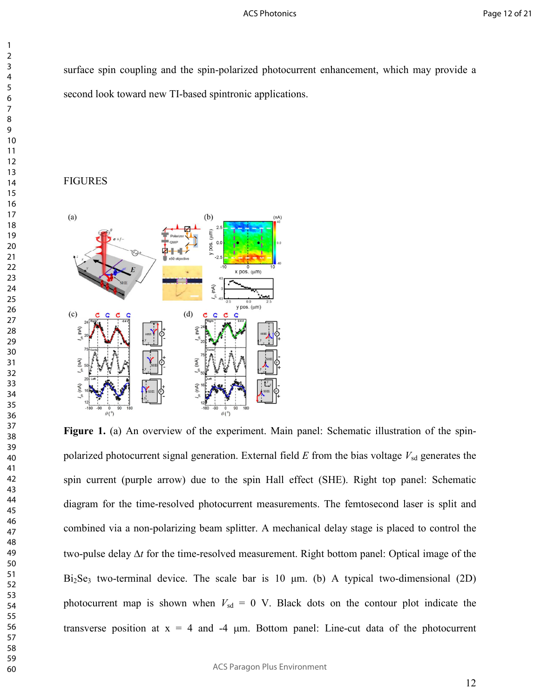surface spin coupling and the spin-polarized photocurrent enhancement, which may provide a second look toward new TI-based spintronic applications.

## FIGURES



Figure 1. (a) An overview of the experiment. Main panel: Schematic illustration of the spinpolarized photocurrent signal generation. External field  $E$  from the bias voltage  $V_{sd}$  generates the spin current (purple arrow) due to the spin Hall effect (SHE). Right top panel: Schematic diagram for the time-resolved photocurrent measurements. The femtosecond laser is split and combined via a non-polarizing beam splitter. A mechanical delay stage is placed to control the two-pulse delay ∆*t* for the time-resolved measurement. Right bottom panel: Optical image of the  $Bi<sub>2</sub>Se<sub>3</sub>$  two-terminal device. The scale bar is 10  $\mu$ m. (b) A typical two-dimensional (2D) photocurrent map is shown when  $V_{sd} = 0$  V. Black dots on the contour plot indicate the transverse position at  $x = 4$  and  $-4$  µm. Bottom panel: Line-cut data of the photocurrent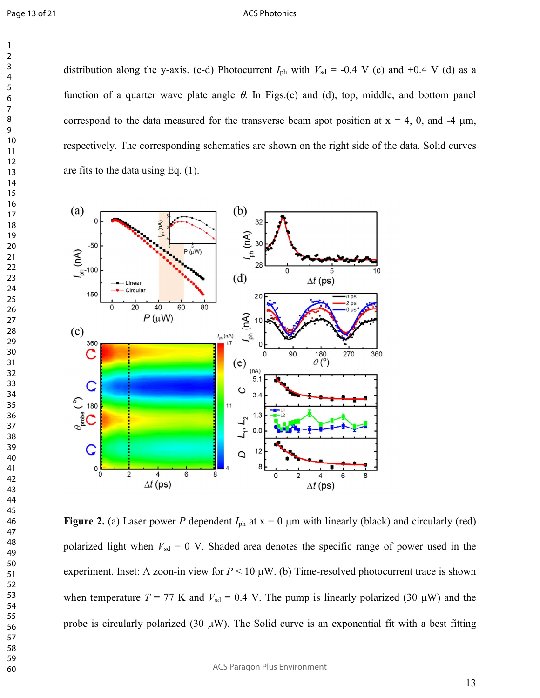distribution along the y-axis. (c-d) Photocurrent  $I_{ph}$  with  $V_{sd} = -0.4$  V (c) and  $+0.4$  V (d) as a function of a quarter wave plate angle  $\theta$ . In Figs.(c) and (d), top, middle, and bottom panel correspond to the data measured for the transverse beam spot position at  $x = 4$ , 0, and -4  $\mu$ m, respectively. The corresponding schematics are shown on the right side of the data. Solid curves are fits to the data using Eq. (1).



**Figure 2.** (a) Laser power *P* dependent  $I_{ph}$  at  $x = 0$  µm with linearly (black) and circularly (red) polarized light when  $V_{sd} = 0$  V. Shaded area denotes the specific range of power used in the experiment. Inset: A zoon-in view for  $P < 10 \mu W$ . (b) Time-resolved photocurrent trace is shown when temperature  $T = 77$  K and  $V_{sd} = 0.4$  V. The pump is linearly polarized (30  $\mu$ W) and the probe is circularly polarized (30  $\mu$ W). The Solid curve is an exponential fit with a best fitting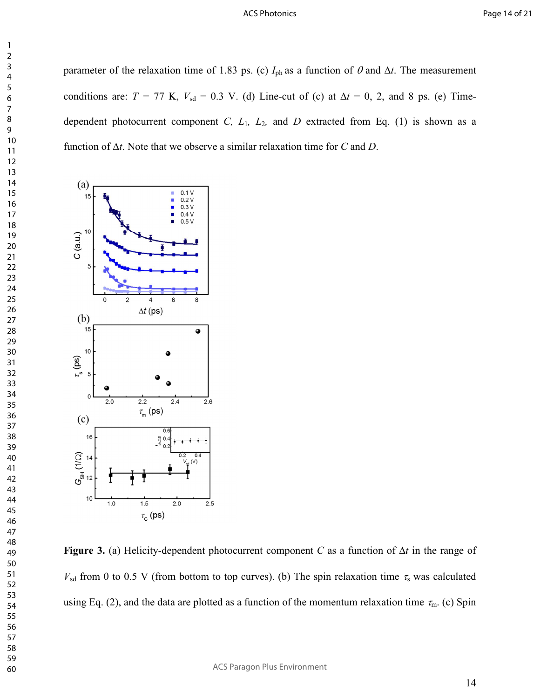parameter of the relaxation time of 1.83 ps. (c)  $I_{ph}$  as a function of  $\theta$  and  $\Delta t$ . The measurement conditions are:  $T = 77$  K,  $V_{sd} = 0.3$  V. (d) Line-cut of (c) at  $\Delta t = 0$ , 2, and 8 ps. (e) Timedependent photocurrent component *C, L*1*, L*2*,* and *D* extracted from Eq. (1) is shown as a function of ∆*t*. Note that we observe a similar relaxation time for *C* and *D*.



**Figure 3.** (a) Helicity-dependent photocurrent component *C* as a function of ∆*t* in the range of  $V_{sd}$  from 0 to 0.5 V (from bottom to top curves). (b) The spin relaxation time  $\tau_s$  was calculated using Eq. (2), and the data are plotted as a function of the momentum relaxation time  $\tau_{m}$ . (c) Spin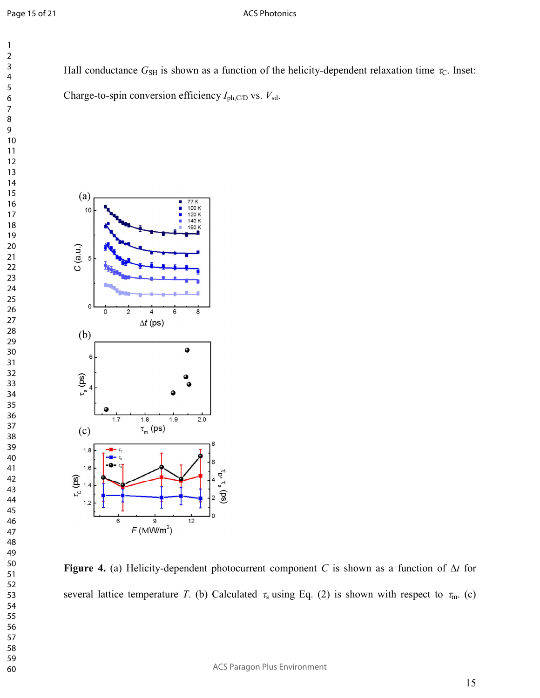### ACS Photonics

Hall conductance  $G_{\text{SH}}$  is shown as a function of the helicity-dependent relaxation time  $\tau_{\text{C}}$ . Inset: Charge-to-spin conversion efficiency *I*ph,C/D vs. *V*sd.



**Figure 4.** (a) Helicity-dependent photocurrent component *C* is shown as a function of ∆*t* for several lattice temperature *T*. (b) Calculated  $\tau_s$  using Eq. (2) is shown with respect to  $\tau_m$ . (c)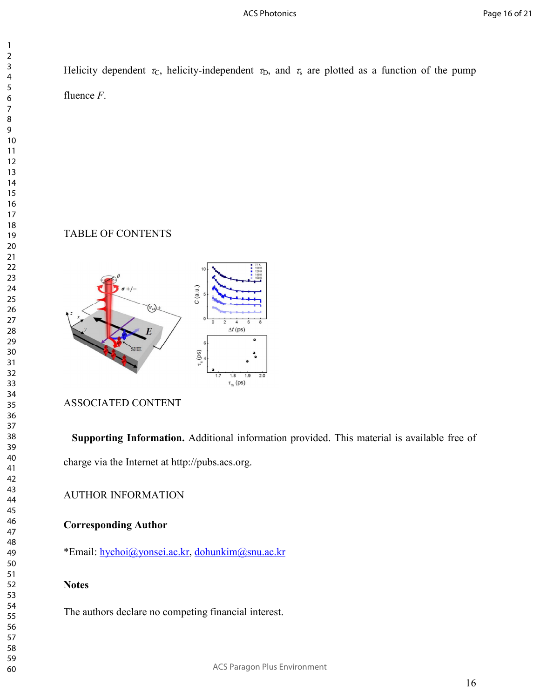Helicity dependent  $\tau_c$ , helicity-independent  $\tau_D$ , and  $\tau_s$  are plotted as a function of the pump fluence *F*.

# TABLE OF CONTENTS



# ASSOCIATED CONTENT

**Supporting Information.** Additional information provided. This material is available free of charge via the Internet at http://pubs.acs.org.

AUTHOR INFORMATION

# **Corresponding Author**

\*Email: hychoi@yonsei.ac.kr, dohunkim@snu.ac.kr

# **Notes**

The authors declare no competing financial interest.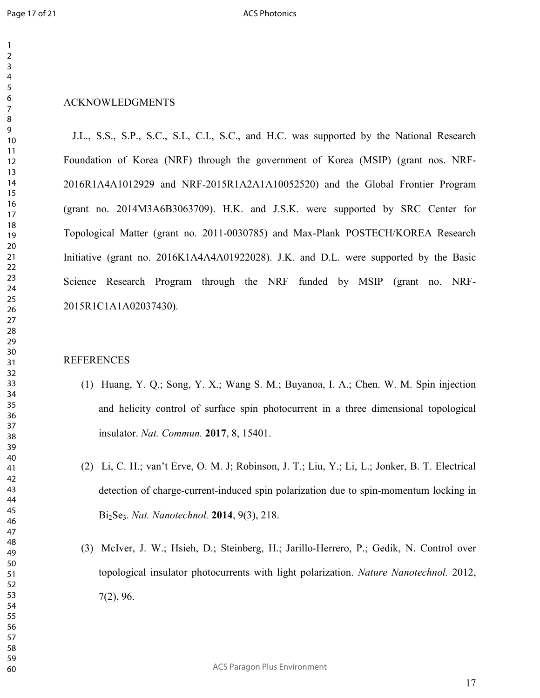## ACKNOWLEDGMENTS

J.L., S.S., S.P., S.C., S.L, C.I., S.C., and H.C. was supported by the National Research Foundation of Korea (NRF) through the government of Korea (MSIP) (grant nos. NRF-2016R1A4A1012929 and NRF-2015R1A2A1A10052520) and the Global Frontier Program (grant no. 2014M3A6B3063709). H.K. and J.S.K. were supported by SRC Center for Topological Matter (grant no. 2011-0030785) and Max-Plank POSTECH/KOREA Research Initiative (grant no. 2016K1A4A4A01922028). J.K. and D.L. were supported by the Basic Science Research Program through the NRF funded by MSIP (grant no. NRF-2015R1C1A1A02037430).

## **REFERENCES**

- (1) Huang, Y. Q.; Song, Y. X.; Wang S. M.; Buyanoa, I. A.; Chen. W. M. Spin injection and helicity control of surface spin photocurrent in a three dimensional topological insulator. *Nat. Commun.* **2017**, 8, 15401.
- (2) Li, C. H.; van't Erve, O. M. J; Robinson, J. T.; Liu, Y.; Li, L.; Jonker, B. T. Electrical detection of charge-current-induced spin polarization due to spin-momentum locking in Bi2Se3. *Nat. Nanotechnol.* **2014**, 9(3), 218.
- (3) McIver, J. W.; Hsieh, D.; Steinberg, H.; Jarillo-Herrero, P.; Gedik, N. Control over topological insulator photocurrents with light polarization. *Nature Nanotechnol.* 2012, 7(2), 96.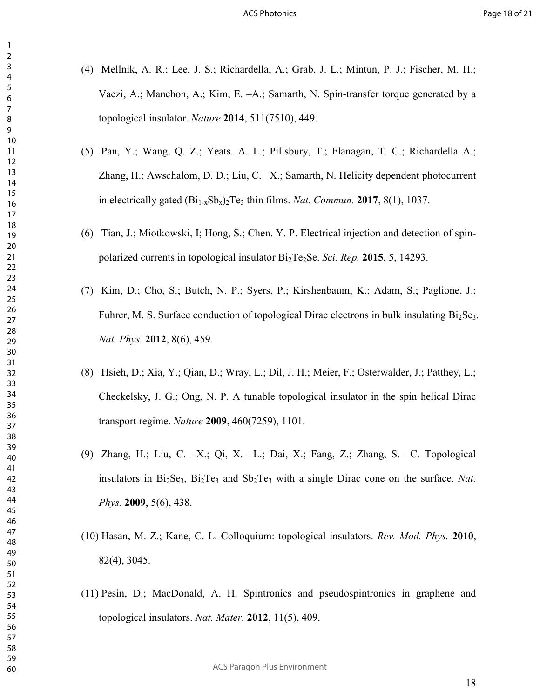- (4) Mellnik, A. R.; Lee, J. S.; Richardella, A.; Grab, J. L.; Mintun, P. J.; Fischer, M. H.; Vaezi, A.; Manchon, A.; Kim, E. –A.; Samarth, N. Spin-transfer torque generated by a topological insulator. *Nature* **2014**, 511(7510), 449.
- (5) Pan, Y.; Wang, Q. Z.; Yeats. A. L.; Pillsbury, T.; Flanagan, T. C.; Richardella A.; Zhang, H.; Awschalom, D. D.; Liu, C. –X.; Samarth, N. Helicity dependent photocurrent in electrically gated  $(Bi_{1-x}Sb_x)_2Te_3$  thin films. *Nat. Commun.* **2017**, 8(1), 1037.
- (6) Tian, J.; Miotkowski, I; Hong, S.; Chen. Y. P. Electrical injection and detection of spinpolarized currents in topological insulator  $Bi_2Te_2Se$ . *Sci. Rep.* **2015**, 5, 14293.
- (7) Kim, D.; Cho, S.; Butch, N. P.; Syers, P.; Kirshenbaum, K.; Adam, S.; Paglione, J.; Fuhrer, M. S. Surface conduction of topological Dirac electrons in bulk insulating  $Bi<sub>2</sub>Se<sub>3</sub>$ . *Nat. Phys.* **2012**, 8(6), 459.
- (8) Hsieh, D.; Xia, Y.; Qian, D.; Wray, L.; Dil, J. H.; Meier, F.; Osterwalder, J.; Patthey, L.; Checkelsky, J. G.; Ong, N. P. A tunable topological insulator in the spin helical Dirac transport regime. *Nature* **2009**, 460(7259), 1101.
- (9) Zhang, H.; Liu, C. –X.; Qi, X. –L.; Dai, X.; Fang, Z.; Zhang, S. –C. Topological insulators in Bi<sub>2</sub>Se<sub>3</sub>, Bi<sub>2</sub>Te<sub>3</sub> and Sb<sub>2</sub>Te<sub>3</sub> with a single Dirac cone on the surface. *Nat. Phys.* **2009**, 5(6), 438.
- (10) Hasan, M. Z.; Kane, C. L. Colloquium: topological insulators. *Rev. Mod. Phys.* **2010**, 82(4), 3045.
- (11) Pesin, D.; MacDonald, A. H. Spintronics and pseudospintronics in graphene and topological insulators. *Nat. Mater.* **2012**, 11(5), 409.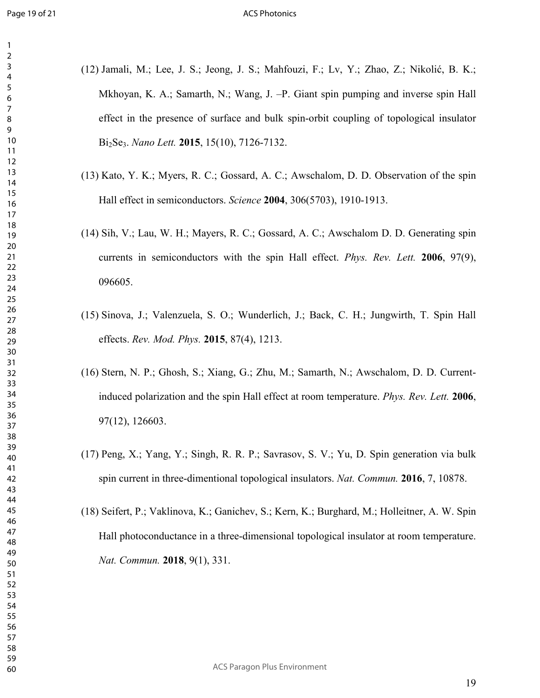- (12) Jamali, M.; Lee, J. S.; Jeong, J. S.; Mahfouzi, F.; Lv, Y.; Zhao, Z.; Nikolić, B. K.; Mkhoyan, K. A.; Samarth, N.; Wang, J. –P. Giant spin pumping and inverse spin Hall effect in the presence of surface and bulk spin-orbit coupling of topological insulator Bi2Se3. *Nano Lett.* **2015**, 15(10), 7126-7132.
- (13) Kato, Y. K.; Myers, R. C.; Gossard, A. C.; Awschalom, D. D. Observation of the spin Hall effect in semiconductors. *Science* **2004**, 306(5703), 1910-1913.
- (14) Sih, V.; Lau, W. H.; Mayers, R. C.; Gossard, A. C.; Awschalom D. D. Generating spin currents in semiconductors with the spin Hall effect. *Phys. Rev. Lett.* **2006**, 97(9), 096605.
- (15) Sinova, J.; Valenzuela, S. O.; Wunderlich, J.; Back, C. H.; Jungwirth, T. Spin Hall effects. *Rev. Mod. Phys.* **2015**, 87(4), 1213.
- (16) Stern, N. P.; Ghosh, S.; Xiang, G.; Zhu, M.; Samarth, N.; Awschalom, D. D. Currentinduced polarization and the spin Hall effect at room temperature. *Phys. Rev. Lett.* **2006**, 97(12), 126603.
- (17) Peng, X.; Yang, Y.; Singh, R. R. P.; Savrasov, S. V.; Yu, D. Spin generation via bulk spin current in three-dimentional topological insulators. *Nat. Commun.* **2016**, 7, 10878.
- (18) Seifert, P.; Vaklinova, K.; Ganichev, S.; Kern, K.; Burghard, M.; Holleitner, A. W. Spin Hall photoconductance in a three-dimensional topological insulator at room temperature. *Nat. Commun.* **2018**, 9(1), 331.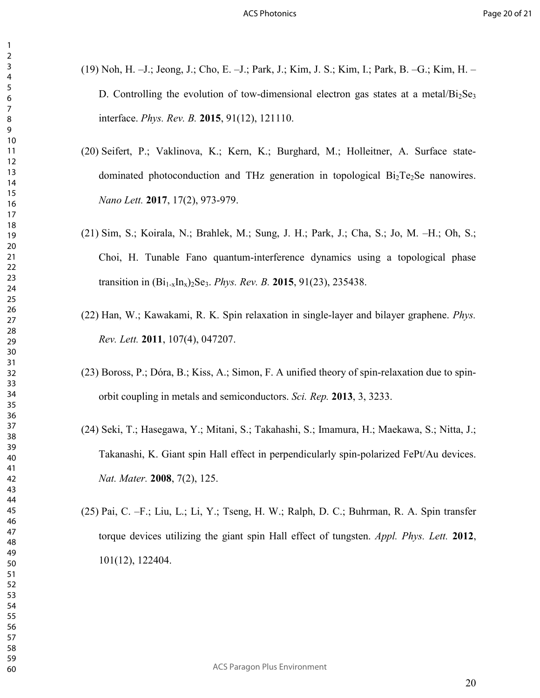- (19) Noh, H. –J.; Jeong, J.; Cho, E. –J.; Park, J.; Kim, J. S.; Kim, I.; Park, B. –G.; Kim, H. D. Controlling the evolution of tow-dimensional electron gas states at a metal/ $Bi_2Se_3$ interface. *Phys. Rev. B.* **2015**, 91(12), 121110.
- (20) Seifert, P.; Vaklinova, K.; Kern, K.; Burghard, M.; Holleitner, A. Surface statedominated photoconduction and THz generation in topological  $Bi<sub>2</sub>Te<sub>2</sub>Se$  nanowires. *Nano Lett.* **2017**, 17(2), 973-979.
- (21) Sim, S.; Koirala, N.; Brahlek, M.; Sung, J. H.; Park, J.; Cha, S.; Jo, M. –H.; Oh, S.; Choi, H. Tunable Fano quantum-interference dynamics using a topological phase transition in  $(Bi_{1-x}In_x)_{2}Se_3$ . *Phys. Rev. B.* **2015**, 91(23), 235438.
- (22) Han, W.; Kawakami, R. K. Spin relaxation in single-layer and bilayer graphene. *Phys. Rev. Lett.* **2011**, 107(4), 047207.
- (23) Boross, P.; Dóra, B.; Kiss, A.; Simon, F. A unified theory of spin-relaxation due to spinorbit coupling in metals and semiconductors. *Sci. Rep.* **2013**, 3, 3233.
- (24) Seki, T.; Hasegawa, Y.; Mitani, S.; Takahashi, S.; Imamura, H.; Maekawa, S.; Nitta, J.; Takanashi, K. Giant spin Hall effect in perpendicularly spin-polarized FePt/Au devices. *Nat. Mater.* **2008**, 7(2), 125.
- (25) Pai, C. –F.; Liu, L.; Li, Y.; Tseng, H. W.; Ralph, D. C.; Buhrman, R. A. Spin transfer torque devices utilizing the giant spin Hall effect of tungsten. *Appl. Phys. Lett.* **2012**, 101(12), 122404.